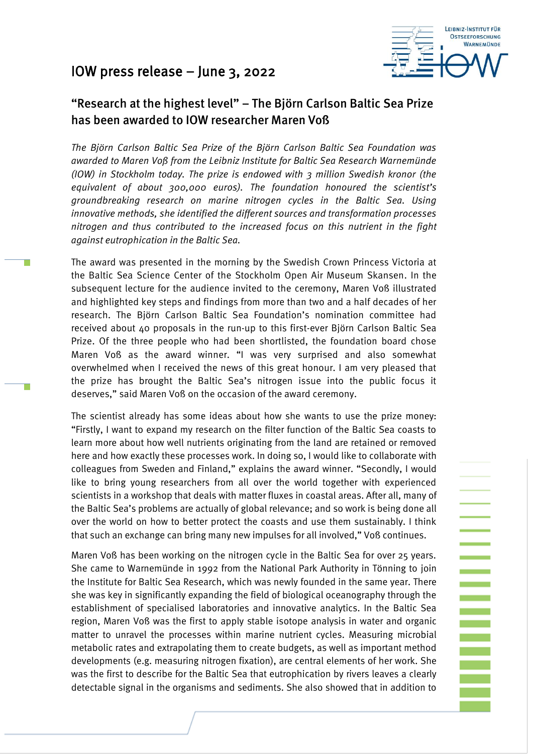## IOW press release – June 3, 2022

т



**Note that the property** 

## "Research at the highest level" – The Björn Carlson Baltic Sea Prize has been awarded to IOW researcher Maren Voß

*The Björn Carlson Baltic Sea Prize of the Björn Carlson Baltic Sea Foundation was awarded to Maren Voß from the Leibniz Institute for Baltic Sea Research Warnemünde (IOW) in Stockholm today. The prize is endowed with 3 million Swedish kronor (the equivalent of about 300,000 euros). The foundation honoured the scientist's groundbreaking research on marine nitrogen cycles in the Baltic Sea. Using innovative methods, she identified the different sources and transformation processes nitrogen and thus contributed to the increased focus on this nutrient in the fight against eutrophication in the Baltic Sea.*

The award was presented in the morning by the Swedish Crown Princess Victoria at the Baltic Sea Science Center of the Stockholm Open Air Museum Skansen. In the subsequent lecture for the audience invited to the ceremony, Maren Voß illustrated and highlighted key steps and findings from more than two and a half decades of her research. The Björn Carlson Baltic Sea Foundation's nomination committee had received about 40 proposals in the run-up to this first-ever Björn Carlson Baltic Sea Prize. Of the three people who had been shortlisted, the foundation board chose Maren Voß as the award winner. "I was very surprised and also somewhat overwhelmed when I received the news of this great honour. I am very pleased that the prize has brought the Baltic Sea's nitrogen issue into the public focus it deserves," said Maren Voß on the occasion of the award ceremony.

The scientist already has some ideas about how she wants to use the prize money: "Firstly, I want to expand my research on the filter function of the Baltic Sea coasts to learn more about how well nutrients originating from the land are retained or removed here and how exactly these processes work. In doing so, I would like to collaborate with colleagues from Sweden and Finland," explains the award winner. "Secondly, I would like to bring young researchers from all over the world together with experienced scientists in a workshop that deals with matter fluxes in coastal areas. After all, many of the Baltic Sea's problems are actually of global relevance; and so work is being done all over the world on how to better protect the coasts and use them sustainably. I think that such an exchange can bring many new impulses for all involved," Voß continues.

Maren Voß has been working on the nitrogen cycle in the Baltic Sea for over 25 years. She came to Warnemünde in 1992 from the National Park Authority in Tönning to join the Institute for Baltic Sea Research, which was newly founded in the same year. There she was key in significantly expanding the field of biological oceanography through the establishment of specialised laboratories and innovative analytics. In the Baltic Sea region, Maren Voß was the first to apply stable isotope analysis in water and organic matter to unravel the processes within marine nutrient cycles. Measuring microbial metabolic rates and extrapolating them to create budgets, as well as important method developments (e.g. measuring nitrogen fixation), are central elements of her work. She was the first to describe for the Baltic Sea that eutrophication by rivers leaves a clearly detectable signal in the organisms and sediments. She also showed that in addition to